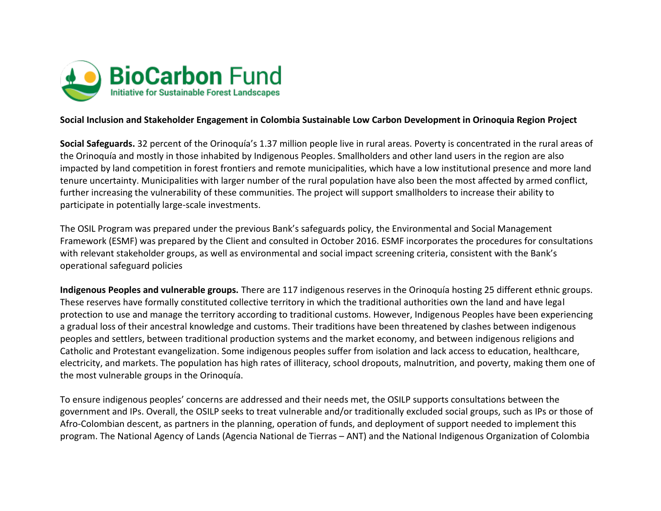

## **Social Inclusion and Stakeholder Engagement in Colombia Sustainable Low Carbon Development in Orinoquia Region Project**

**Social Safeguards.** 32 percent of the Orinoquía's 1.37 million people live in rural areas. Poverty is concentrated in the rural areas of the Orinoquía and mostly in those inhabited by Indigenous Peoples. Smallholders and other land users in the region are also impacted by land competition in forest frontiers and remote municipalities, which have a low institutional presence and more land tenure uncertainty. Municipalities with larger number of the rural population have also been the most affected by armed conflict, further increasing the vulnerability of these communities. The project will support smallholders to increase their ability to participate in potentially large-scale investments.

The OSIL Program was prepared under the previous Bank's safeguards policy, the Environmental and Social Management Framework (ESMF) was prepared by the Client and consulted in October 2016. ESMF incorporates the procedures for consultations with relevant stakeholder groups, as well as environmental and social impact screening criteria, consistent with the Bank's operational safeguard policies

**Indigenous Peoples and vulnerable groups.** There are 117 indigenous reserves in the Orinoquía hosting 25 different ethnic groups. These reserves have formally constituted collective territory in which the traditional authorities own the land and have legal protection to use and manage the territory according to traditional customs. However, Indigenous Peoples have been experiencing a gradual loss of their ancestral knowledge and customs. Their traditions have been threatened by clashes between indigenous peoples and settlers, between traditional production systems and the market economy, and between indigenous religions and Catholic and Protestant evangelization. Some indigenous peoples suffer from isolation and lack access to education, healthcare, electricity, and markets. The population has high rates of illiteracy, school dropouts, malnutrition, and poverty, making them one of the most vulnerable groups in the Orinoquía.

To ensure indigenous peoples' concerns are addressed and their needs met, the OSILP supports consultations between the government and IPs. Overall, the OSILP seeks to treat vulnerable and/or traditionally excluded social groups, such as IPs or those of Afro-Colombian descent, as partners in the planning, operation of funds, and deployment of support needed to implement this program. The National Agency of Lands (Agencia National de Tierras – ANT) and the National Indigenous Organization of Colombia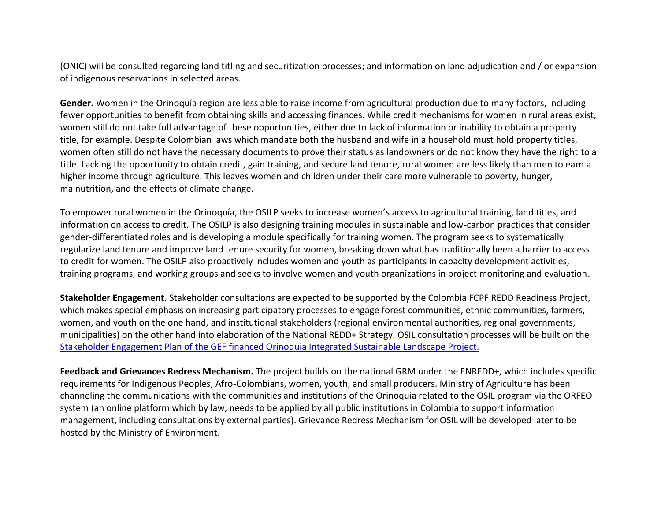(ONIC) will be consulted regarding land titling and securitization processes; and information on land adjudication and / or expansion of indigenous reservations in selected areas.

**Gender.** Women in the Orinoquía region are less able to raise income from agricultural production due to many factors, including fewer opportunities to benefit from obtaining skills and accessing finances. While credit mechanisms for women in rural areas exist, women still do not take full advantage of these opportunities, either due to lack of information or inability to obtain a property title, for example. Despite Colombian laws which mandate both the husband and wife in a household must hold property titles, women often still do not have the necessary documents to prove their status as landowners or do not know they have the right to a title. Lacking the opportunity to obtain credit, gain training, and secure land tenure, rural women are less likely than men to earn a higher income through agriculture. This leaves women and children under their care more vulnerable to poverty, hunger, malnutrition, and the effects of climate change.

To empower rural women in the Orinoquía, the OSILP seeks to increase women's access to agricultural training, land titles, and information on access to credit. The OSILP is also designing training modules in sustainable and low-carbon practices that consider gender-differentiated roles and is developing a module specifically for training women. The program seeks to systematically regularize land tenure and improve land tenure security for women, breaking down what has traditionally been a barrier to access to credit for women. The OSILP also proactively includes women and youth as participants in capacity development activities, training programs, and working groups and seeks to involve women and youth organizations in project monitoring and evaluation.

**Stakeholder Engagement.** Stakeholder consultations are expected to be supported by the Colombia FCPF REDD Readiness Project, which makes special emphasis on increasing participatory processes to engage forest communities, ethnic communities, farmers, women, and youth on the one hand, and institutional stakeholders (regional environmental authorities, regional governments, municipalities) on the other hand into elaboration of the National REDD+ Strategy. OSIL consultation processes will be built on the [Stakeholder Engagement Plan of the GEF financed Orinoquia Integrated Sustainable Landscape Project.](http://documents.worldbank.org/curated/en/629851560985120066/pdf/Stakeholder-Engagement-Plan-SEP-Orinoquia-Integrated-Sustainable-Landscapes-P167830.pdf) 

**Feedback and Grievances Redress Mechanism.** The project builds on the national GRM under the ENREDD+, which includes specific requirements for Indigenous Peoples, Afro-Colombians, women, youth, and small producers. Ministry of Agriculture has been channeling the communications with the communities and institutions of the Orinoquia related to the OSIL program via the ORFEO system (an online platform which by law, needs to be applied by all public institutions in Colombia to support information management, including consultations by external parties). Grievance Redress Mechanism for OSIL will be developed later to be hosted by the Ministry of Environment.